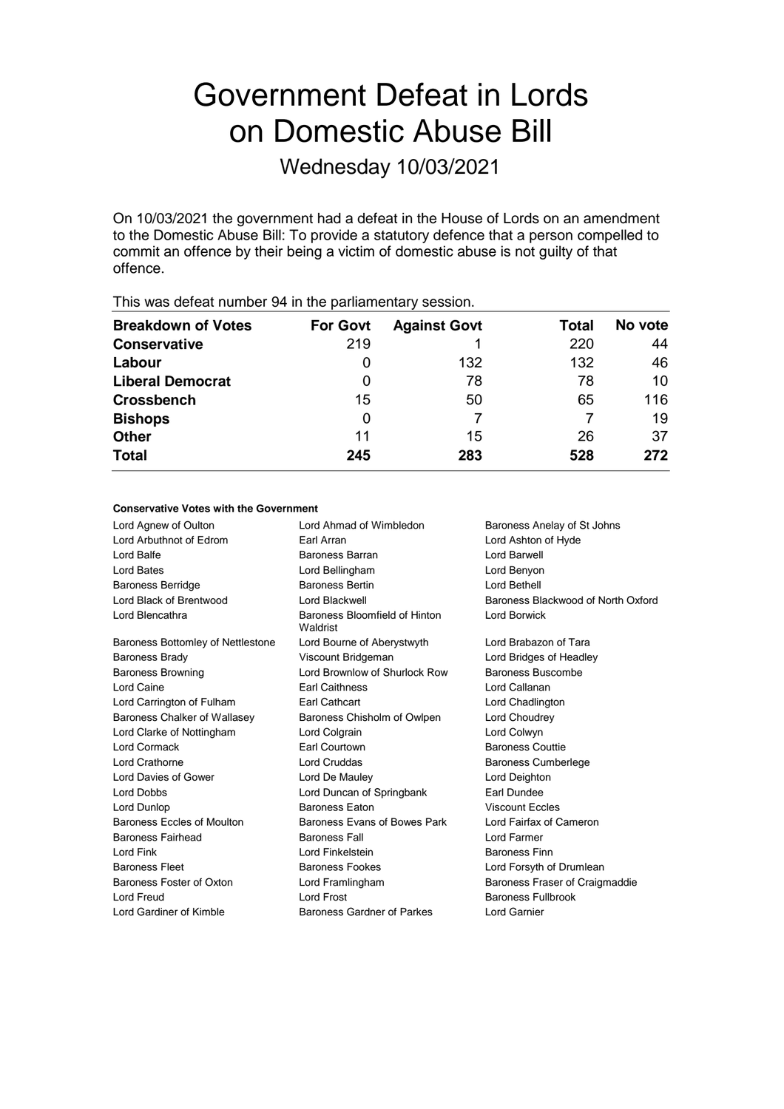# Government Defeat in Lords on Domestic Abuse Bill

Wednesday 10/03/2021

On 10/03/2021 the government had a defeat in the House of Lords on an amendment to the Domestic Abuse Bill: To provide a statutory defence that a person compelled to commit an offence by their being a victim of domestic abuse is not guilty of that offence.

| <b>For Govt</b> | <b>Against Govt</b> | Total | No vote |
|-----------------|---------------------|-------|---------|
| 219             |                     | 220   | 44      |
| 0               | 132                 | 132   | 46      |
| 0               | 78                  | 78    | 10      |
| 15              | 50                  | 65    | 116     |
| 0               |                     |       | 19      |
| 11              | 15                  | 26    | 37      |
| 245             | 283                 | 528   | 272     |
|                 |                     |       |         |

This was defeat number 94 in the parliamentary session.

## **Conservative Votes with the Government**

| Lord Agnew of Oulton              | Lord Ahmad of Wimbledon                   | Baroness Anelay of St Johns        |
|-----------------------------------|-------------------------------------------|------------------------------------|
| Lord Arbuthnot of Edrom           | Earl Arran                                | Lord Ashton of Hyde                |
| Lord Balfe                        | Baroness Barran                           | Lord Barwell                       |
| Lord Bates                        | Lord Bellingham                           | Lord Benyon                        |
| <b>Baroness Berridge</b>          | <b>Baroness Bertin</b>                    | Lord Bethell                       |
| Lord Black of Brentwood           | Lord Blackwell                            | Baroness Blackwood of North Oxford |
| Lord Blencathra                   | Baroness Bloomfield of Hinton<br>Waldrist | Lord Borwick                       |
| Baroness Bottomley of Nettlestone | Lord Bourne of Aberystwyth                | Lord Brabazon of Tara              |
| <b>Baroness Brady</b>             | Viscount Bridgeman                        | Lord Bridges of Headley            |
| <b>Baroness Browning</b>          | Lord Brownlow of Shurlock Row             | Baroness Buscombe                  |
| Lord Caine                        | <b>Earl Caithness</b>                     | Lord Callanan                      |
| Lord Carrington of Fulham         | <b>Earl Cathcart</b>                      | Lord Chadlington                   |
| Baroness Chalker of Wallasey      | Baroness Chisholm of Owlpen               | Lord Choudrey                      |
| Lord Clarke of Nottingham         | Lord Colgrain                             | Lord Colwyn                        |
| Lord Cormack                      | <b>Earl Courtown</b>                      | <b>Baroness Couttie</b>            |
| Lord Crathorne                    | <b>Lord Cruddas</b>                       | <b>Baroness Cumberlege</b>         |
| Lord Davies of Gower              | Lord De Mauley                            | Lord Deighton                      |
| Lord Dobbs                        | Lord Duncan of Springbank                 | Earl Dundee                        |
| Lord Dunlop                       | <b>Baroness Faton</b>                     | <b>Viscount Eccles</b>             |
| Baroness Eccles of Moulton        | Baroness Evans of Bowes Park              | Lord Fairfax of Cameron            |
| Baroness Fairhead                 | <b>Baroness Fall</b>                      | Lord Farmer                        |
| Lord Fink                         | Lord Finkelstein                          | Baroness Finn                      |
| <b>Baroness Fleet</b>             | <b>Baroness Fookes</b>                    | Lord Forsyth of Drumlean           |
| Baroness Foster of Oxton          | Lord Framlingham                          | Baroness Fraser of Craigmaddie     |
| Lord Freud                        | <b>Lord Frost</b>                         | Baroness Fullbrook                 |
| Lord Gardiner of Kimble           | Baroness Gardner of Parkes                | <b>Lord Garnier</b>                |
|                                   |                                           |                                    |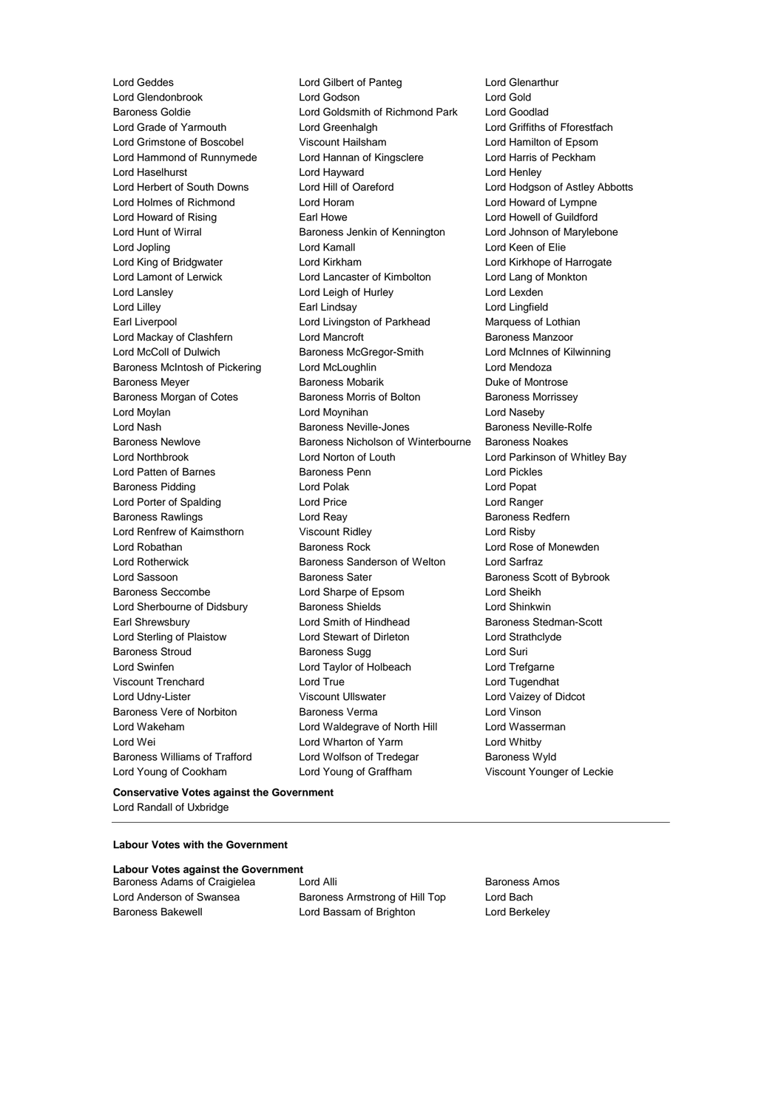Lord Young of Cookham Lord Young of Graffham Viscount Younger of Leckie

Lord Geddes Lord Gilbert of Panteg Lord Glenarthur Lord Glendonbrook Lord Godson Lord Gold<br>
Lord Gold Gold Lord Golds Lord Goldsmith of Richmond Park Lord Goodlad Lord Goldsmith of Richmond Park Lord Grade of Yarmouth Lord Greenhalgh Lord Griffiths of Fforestfach Lord Grimstone of Boscobel Viscount Hailsham Lord Hamilton of Epsom Lord Hammond of Runnymede Lord Hannan of Kingsclere Lord Harris of Peckham Lord Haselhurst Lord Hayward Lord Henley Lord Herbert of South Downs Lord Hill of Oareford Lord Hodgson of Astley Abbotts Lord Holmes of Richmond Lord Horam Lord Howard of Lympne Lord Howard of Rising **Earl Howe** Earl Howe Lord Howell of Guildford Lord Hunt of Wirral **Baroness Jenkin of Kennington** Lord Johnson of Marylebone Lord Jopling Lord Kamall Lord Keen of Elie Lord King of Bridgwater Lord Kirkham Lord Kirkhope of Harrogate Lord Lamont of Lerwick Lord Lancaster of Kimbolton Lord Lang of Monkton Lord Lansley Lord Leigh of Hurley Lord Lexden Lord Lilley Earl Lindsay Lord Lingfield Earl Liverpool Lord Livingston of Parkhead Marquess of Lothian Lord Mackay of Clashfern **Lord Mancroft Baroness Manzoor** Baroness Manzoor Lord McColl of Dulwich Baroness McGregor-Smith Lord McInnes of Kilwinning Baroness McIntosh of Pickering Lord McLoughlin Lord Mendoza Baroness Meyer **Baroness Mobarik** Baroness Mobarik **Duke of Montrose** Baroness Morgan of Cotes **Baroness Morris of Bolton** Baroness Morrissey Lord Moylan Lord Moynihan Lord Naseby Lord Nash **Baroness Neville-Jones** Baroness Neville-Rolfe Baroness Newlove Baroness Nicholson of Winterbourne Baroness Noakes Lord Northbrook Lord Norton of Louth Lord Parkinson of Whitley Bay Lord Patten of Barnes Baroness Penn Lord Pickles Baroness Pidding **Communist Communist Communist Communist Communist Communist Communist Communist Communist Communist Communist Communist Communist Communist Communist Communist Communist Communist Communist Communist Comm** Lord Porter of Spalding Lord Price Lord Ranger Baroness Rawlings **Lord Reay Lord Reay Baroness Redfern** Lord Renfrew of Kaimsthorn Viscount Ridley Lord Risby Lord Robathan **Baroness Rock** Lord Rose of Monewden Lord Rotherwick Baroness Sanderson of Welton Lord Sarfraz Lord Sassoon **Baroness Sater** Baroness Scott of Bybrook Baroness Seccombe Lord Sharpe of Epsom Lord Sheikh Lord Sherbourne of Didsbury **Baroness Shields** Lord Shinkwin Earl Shrewsbury **Example 20** Lord Smith of Hindhead **Baroness** Stedman-Scott Lord Sterling of Plaistow Lord Stewart of Dirleton Lord Strathclyde Baroness Stroud **Baroness Sugg Contains Act and Suri** Baroness Sugg Lord Suri Lord Swinfen Lord Taylor of Holbeach Lord Trefgarne Viscount Trenchard Lord True Lord Tugendhat Lord Udny-Lister Viscount Ullswater Lord Vaizey of Didcot Baroness Vere of Norbiton Baroness Verma Lord Vinson Lord Wakeham **Lord Waldegrave of North Hill** Lord Wasserman Lord Wei **Lord Wharton of Yarm** Cord Whitby Baroness Williams of Trafford Lord Wolfson of Tredegar Baroness Wyld

**Conservative Votes against the Government** Lord Randall of Uxbridge

## **Labour Votes with the Government**

|  |  | <b>Labour Votes against the Government</b> |  |
|--|--|--------------------------------------------|--|
|--|--|--------------------------------------------|--|

Baroness Adams of Craigielea Lord Alli **Baroness Amos** Baroness Amos

Lord Anderson of Swansea **Baroness Armstrong of Hill Top** Lord Bach Baroness Bakewell **Lord Bassam of Brighton** Lord Berkeley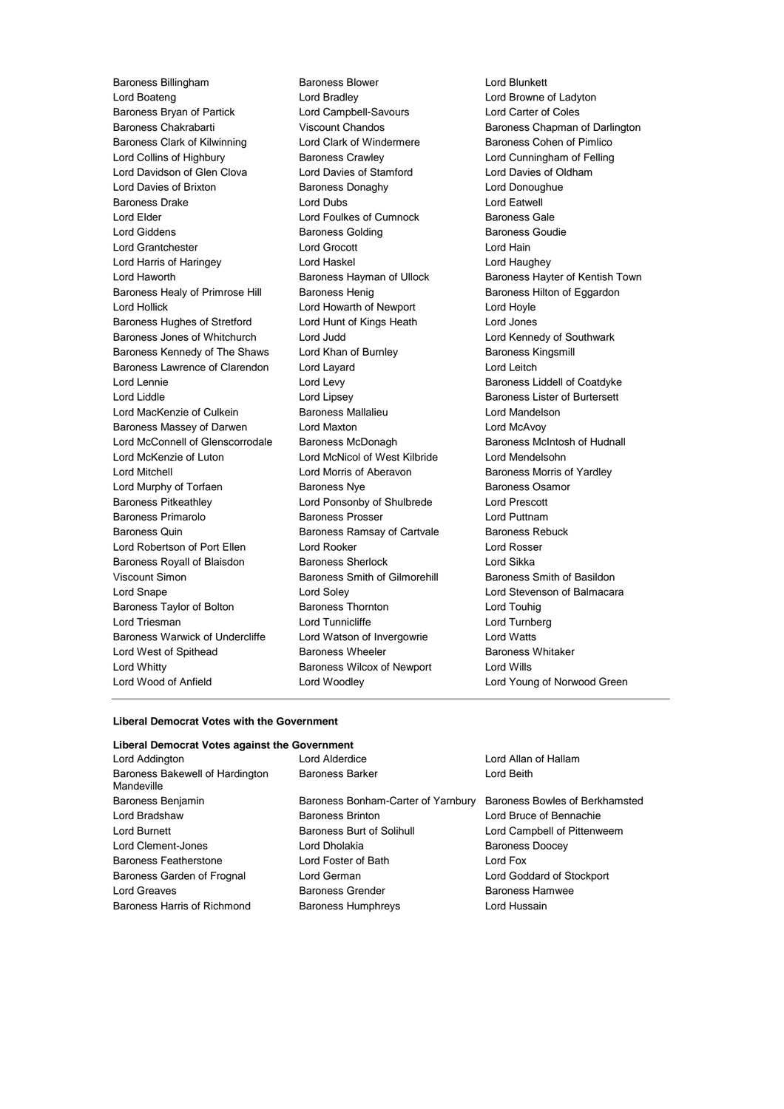Baroness Billingham Baroness Blower Lord Blunkett Lord Boateng Lord Bradley Lord Browne of Ladyton Baroness Bryan of Partick Lord Campbell-Savours Lord Carter of Coles Baroness Chakrabarti **Manual Chandos** Baroness Chapman of Darlington Baroness Clark of Kilwinning **Lord Clark of Windermere** Baroness Cohen of Pimlico Lord Collins of Highbury Baroness Crawley Lord Cunningham of Felling Lord Davidson of Glen Clova Lord Davies of Stamford Lord Davies of Oldham Lord Davies of Brixton **Baroness Donaghy Baroness Donaghy** Lord Donoughue Baroness Drake **Lord Dubs** Lord Dubs **Lord Eatwell** Lord Elder **Lord Foulkes of Cumnock** Baroness Gale Lord Giddens **Baroness Golding** Baroness Goudie Lord Grantchester Lord Grocott Lord Hain Lord Harris of Haringey Lord Haskel Lord Haughey Lord Haworth **Baroness Hayman of Ullock** Baroness Hayter of Kentish Town Baroness Healy of Primrose Hill Baroness Henig Baroness Hensen Baroness Hilton of Eggardon Lord Hollick Lord Howarth of Newport Lord Hoyle Baroness Hughes of Stretford Lord Hunt of Kings Heath Lord Jones Baroness Jones of Whitchurch Lord Judd Lord Kennedy of Southwark Baroness Kennedy of The Shaws Lord Khan of Burnley **Baroness Kingsmill** Baroness Kingsmill Baroness Lawrence of Clarendon Lord Layard Lord Leitch Lord Lennie **Lord Levy** Lord Levy **Baroness Liddell of Coatdyke** Lord Liddle **Lord Lipsey** Lord Lipsey **Baroness Lister of Burtersett** Lord MacKenzie of Culkein **Baroness Mallalieu** Lord Mandelson Baroness Massey of Darwen Lord Maxton Lord McAvoy Lord McConnell of Glenscorrodale Baroness McDonagh Baroness McIntosh of Hudnall Lord McKenzie of Luton Lord McNicol of West Kilbride Lord Mendelsohn Lord Mitchell **Lord Morris of Aberavon** Baroness Morris of Yardley Lord Murphy of Torfaen Baroness Nye Baroness Osamor Baroness Pitkeathley Lord Ponsonby of Shulbrede Lord Prescott Baroness Primarolo **Baroness Prosser Baroness Prosser** Lord Puttnam Baroness Quin **Baroness Ramsay of Cartvale** Baroness Rebuck Lord Robertson of Port Ellen Lord Rooker Lord Rosser Baroness Royall of Blaisdon Baroness Sherlock Lord Sikka Viscount Simon **Baroness Smith of Gilmorehill** Baroness Smith of Basildon Lord Snape Lord Soley Lord Stevenson of Balmacara Baroness Taylor of Bolton Baroness Thornton Lord Touhig Lord Triesman Lord Tunnicliffe Lord Turnberg Baroness Warwick of Undercliffe Lord Watson of Invergowrie Lord Watts Lord West of Spithead **Baroness Wheeler** Baroness Whitaker Lord Whitty Baroness Wilcox of Newport Lord Wills Lord Wood of Anfield Lord Woodley Lord Young of Norwood Green

#### **Liberal Democrat Votes with the Government**

## **Liberal Democrat Votes against the Government**

| Lord Addington                                | Lord Alderdice                     | Lord Allan of Hallam           |
|-----------------------------------------------|------------------------------------|--------------------------------|
| Baroness Bakewell of Hardington<br>Mandeville | <b>Baroness Barker</b>             | Lord Beith                     |
| Baroness Benjamin                             | Baroness Bonham-Carter of Yarnbury | Baroness Bowles of Berkhamsted |
| Lord Bradshaw                                 | Baroness Brinton                   | Lord Bruce of Bennachie        |
| Lord Burnett                                  | Baroness Burt of Solihull          | Lord Campbell of Pittenweem    |
| Lord Clement-Jones                            | Lord Dholakia                      | <b>Baroness Doocey</b>         |
| <b>Baroness Featherstone</b>                  | Lord Foster of Bath                | Lord Fox                       |
| Baroness Garden of Frognal                    | Lord German                        | Lord Goddard of Stockport      |
| Lord Greaves                                  | <b>Baroness Grender</b>            | <b>Baroness Hamwee</b>         |
| Baroness Harris of Richmond                   | <b>Baroness Humphreys</b>          | Lord Hussain                   |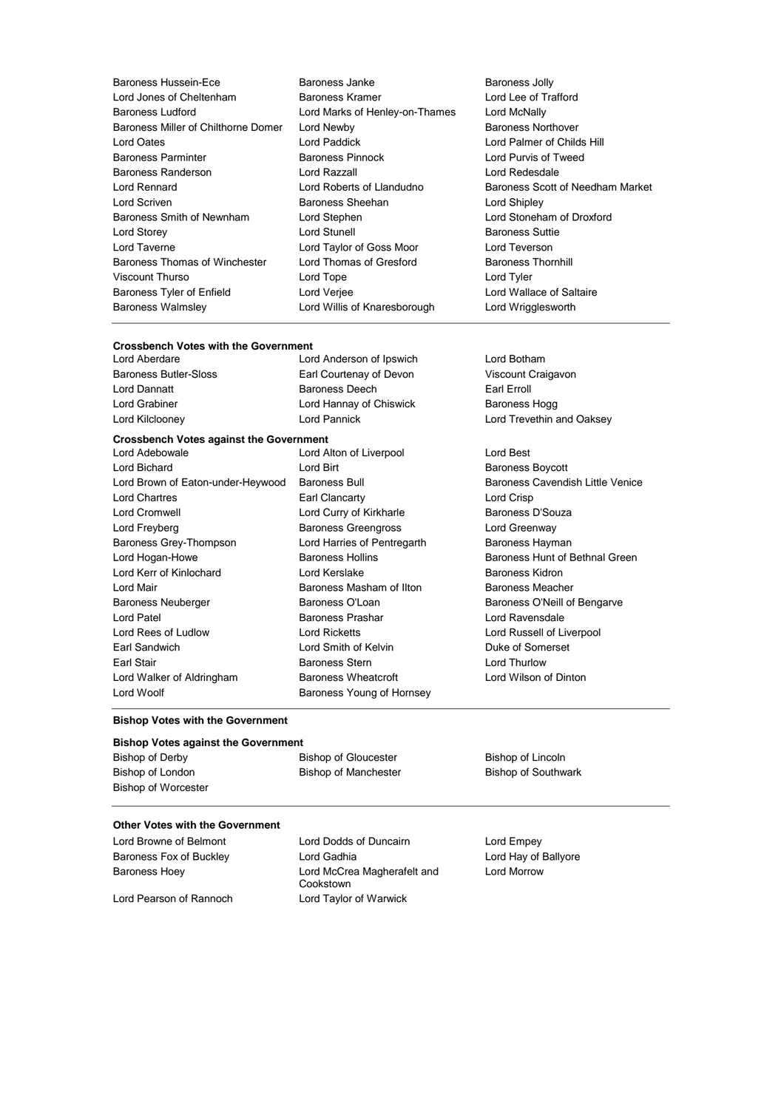| Baroness Hussein-Ece                | Baroness Janke                 | <b>Baroness Jolly</b>     |
|-------------------------------------|--------------------------------|---------------------------|
| Lord Jones of Cheltenham            | Baroness Kramer                | Lord Lee of Trafford      |
| <b>Baroness Ludford</b>             | Lord Marks of Henley-on-Thames | Lord McNally              |
| Baroness Miller of Chilthorne Domer | Lord Newby                     | Baroness Northover        |
| <b>Lord Oates</b>                   | Lord Paddick                   | Lord Palmer of Childs     |
| <b>Baroness Parminter</b>           | <b>Baroness Pinnock</b>        | Lord Purvis of Tweed      |
| <b>Baroness Randerson</b>           | Lord Razzall                   | Lord Redesdale            |
| <b>Lord Rennard</b>                 | Lord Roberts of Llandudno      | Baroness Scott of Ne      |
| Lord Scriven                        | <b>Baroness Sheehan</b>        | Lord Shipley              |
| Baroness Smith of Newnham           | Lord Stephen                   | Lord Stoneham of Dr       |
| Lord Storey                         | <b>Lord Stunell</b>            | <b>Baroness Suttie</b>    |
| Lord Taverne                        | Lord Taylor of Goss Moor       | Lord Teverson             |
| Baroness Thomas of Winchester       | Lord Thomas of Gresford        | <b>Baroness Thornhill</b> |
| Viscount Thurso                     | Lord Tope                      | Lord Tyler                |
| Baroness Tyler of Enfield           | Lord Verjee                    | Lord Wallace of Salta     |
| <b>Baroness Walmsley</b>            | Lord Willis of Knaresborough   | Lord Wrigglesworth        |

## almer of Childs Hill **Exames Scott of Needham Market** toneham of Droxford **Barones** Thornhill 'allace of Saltaire 'rigglesworth

## **Crossbench Votes with the Government**<br>Lord Aberdare Lor

Lord Anderson of Ipswich Lord Botham Baroness Butler-Sloss Earl Courtenay of Devon Viscount Craigavon Lord Dannatt **Baroness Deech** Earl Erroll Lord Grabiner **Lord Hannay of Chiswick** Baroness Hogg

## **Crossbench Votes against the Government**

Lord Bichard **Lord Birt** Lord Birt **Baroness Boycott** Lord Brown of Eaton-under-Heywood Baroness Bull Baroness Cavendish Little Venice Lord Chartres **Earl Clancarty** Early Clance Early Lord Crisp Lord Cromwell **Lord Curry of Kirkharle** Baroness D'Souza Lord Freyberg **Baroness Greengross** Lord Greenway Baroness Grey-Thompson **Lord Harries of Pentregarth** Baroness Hayman Lord Hogan-Howe **Baroness Hollins** Baroness Hollins **Baroness Hunt of Bethnal Green** Lord Kerr of Kinlochard Lord Kerslake Baroness Kidron Lord Mair Baroness Masham of Ilton Baroness Meacher Baroness Neuberger **Baroness O'Loan** Baroness O'Loan Baroness O'Neill of Bengarve Lord Patel **Baroness Prashar Lord Ravensdale** Lord Rees of Ludlow Lord Ricketts Lord Russell of Liverpool Earl Sandwich **Lord Smith of Kelvin** Duke of Somerset Earl Stair **Baroness Stern Baroness Stern Earl Stair** Lord Thurlow Lord Walker of Aldringham Baroness Wheatcroft **Lord Wilson of Dinton** Lord Woolf **Baroness Young of Hornsey** 

Lord Alton of Liverpool Lord Best

# Lord Kilclooney Lord Pannick Lord Trevethin and Oaksey

### **Bishop Votes with the Government**

### **Bishop Votes against the Government**

Bishop of Derby Bishop of Gloucester Bishop of Lincoln Bishop of London **Bishop of Manchester** Bishop of Southwark Bishop of Worcester

## **Other Votes with the Government**

Baroness Fox of Buckley **Lord Gadhia** Lord Gadhia Lord Hay of Ballyore Baroness Hoey **Lord McCrea Magherafelt and** 

Lord Browne of Belmont Lord Dodds of Duncairn Lord Empey Cookstown Lord Pearson of Rannoch Lord Taylor of Warwick

Lord Morrow